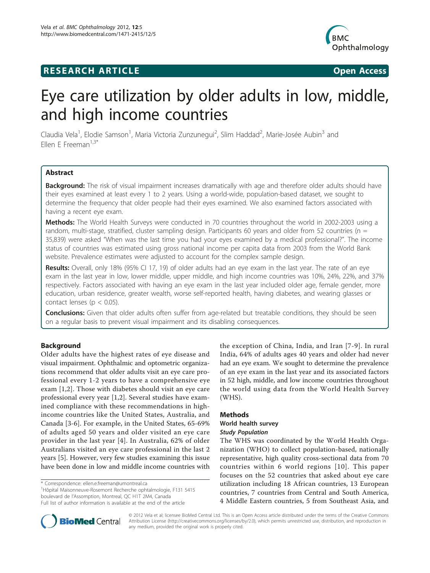# **RESEARCH ARTICLE Example 2018 12:00 Open Access**



# Eye care utilization by older adults in low, middle, and high income countries

Claudia Vela<sup>1</sup>, Elodie Samson<sup>1</sup>, Maria Victoria Zunzunegui<sup>2</sup>, Slim Haddad<sup>2</sup>, Marie-Josée Aubin<sup>3</sup> and Fllen F Freeman $1,3^*$ 

# Abstract

Background: The risk of visual impairment increases dramatically with age and therefore older adults should have their eyes examined at least every 1 to 2 years. Using a world-wide, population-based dataset, we sought to determine the frequency that older people had their eyes examined. We also examined factors associated with having a recent eye exam.

Methods: The World Health Surveys were conducted in 70 countries throughout the world in 2002-2003 using a random, multi-stage, stratified, cluster sampling design. Participants 60 years and older from 52 countries ( $n =$ 35,839) were asked "When was the last time you had your eyes examined by a medical professional?". The income status of countries was estimated using gross national income per capita data from 2003 from the World Bank website. Prevalence estimates were adjusted to account for the complex sample design.

Results: Overall, only 18% (95% CI 17, 19) of older adults had an eye exam in the last year. The rate of an eye exam in the last year in low, lower middle, upper middle, and high income countries was 10%, 24%, 22%, and 37% respectively. Factors associated with having an eye exam in the last year included older age, female gender, more education, urban residence, greater wealth, worse self-reported health, having diabetes, and wearing glasses or contact lenses ( $p < 0.05$ ).

Conclusions: Given that older adults often suffer from age-related but treatable conditions, they should be seen on a regular basis to prevent visual impairment and its disabling consequences.

# Background

Older adults have the highest rates of eye disease and visual impairment. Ophthalmic and optometric organizations recommend that older adults visit an eye care professional every 1-2 years to have a comprehensive eye exam [\[1,2](#page-5-0)]. Those with diabetes should visit an eye care professional every year [[1,2](#page-5-0)]. Several studies have examined compliance with these recommendations in highincome countries like the United States, Australia, and Canada [[3-6](#page-5-0)]. For example, in the United States, 65-69% of adults aged 50 years and older visited an eye care provider in the last year [[4](#page-5-0)]. In Australia, 62% of older Australians visited an eye care professional in the last 2 years [[5\]](#page-5-0). However, very few studies examining this issue have been done in low and middle income countries with

1 Hôpital Maisonneuve-Rosemont Recherche ophtalmologie, F131 5415 boulevard de l'Assomption, Montreal, QC H1T 2M4, Canada Full list of author information is available at the end of the article

the exception of China, India, and Iran [[7](#page-5-0)-[9](#page-5-0)]. In rural India, 64% of adults ages 40 years and older had never had an eye exam. We sought to determine the prevalence of an eye exam in the last year and its associated factors in 52 high, middle, and low income countries throughout the world using data from the World Health Survey (WHS).

# Methods

#### World health survey Study Population

The WHS was coordinated by the World Health Organization (WHO) to collect population-based, nationally representative, high quality cross-sectional data from 70 countries within 6 world regions [[10\]](#page-5-0). This paper focuses on the 52 countries that asked about eye care utilization including 18 African countries, 13 European countries, 7 countries from Central and South America, 4 Middle Eastern countries, 5 from Southeast Asia, and



© 2012 Vela et al; licensee BioMed Central Ltd. This is an Open Access article distributed under the terms of the Creative Commons Attribution License [\(http://creativecommons.org/licenses/by/2.0](http://creativecommons.org/licenses/by/2.0)), which permits unrestricted use, distribution, and reproduction in any medium, provided the original work is properly cited.

<sup>\*</sup> Correspondence: [ellen.e.freeman@umontreal.ca](mailto:ellen.e.freeman@umontreal.ca)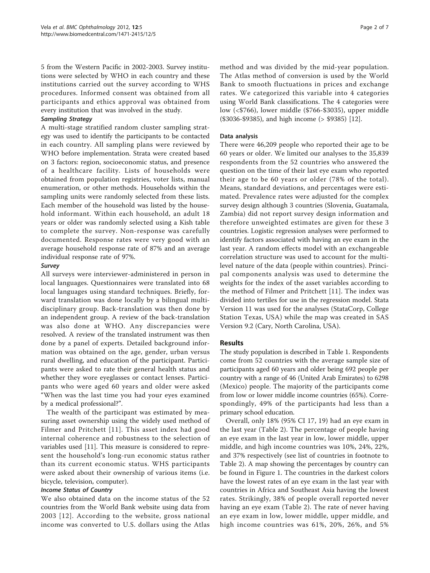5 from the Western Pacific in 2002-2003. Survey institutions were selected by WHO in each country and these institutions carried out the survey according to WHS procedures. Informed consent was obtained from all participants and ethics approval was obtained from every institution that was involved in the study.

## Sampling Strategy

A multi-stage stratified random cluster sampling strategy was used to identify the participants to be contacted in each country. All sampling plans were reviewed by WHO before implementation. Strata were created based on 3 factors: region, socioeconomic status, and presence of a healthcare facility. Lists of households were obtained from population registries, voter lists, manual enumeration, or other methods. Households within the sampling units were randomly selected from these lists. Each member of the household was listed by the household informant. Within each household, an adult 18 years or older was randomly selected using a Kish table to complete the survey. Non-response was carefully documented. Response rates were very good with an average household response rate of 87% and an average individual response rate of 97%.

## Survey

All surveys were interviewer-administered in person in local languages. Questionnaires were translated into 68 local languages using standard techniques. Briefly, forward translation was done locally by a bilingual multidisciplinary group. Back-translation was then done by an independent group. A review of the back-translation was also done at WHO. Any discrepancies were resolved. A review of the translated instrument was then done by a panel of experts. Detailed background information was obtained on the age, gender, urban versus rural dwelling, and education of the participant. Participants were asked to rate their general health status and whether they wore eyeglasses or contact lenses. Participants who were aged 60 years and older were asked "When was the last time you had your eyes examined by a medical professional?".

The wealth of the participant was estimated by measuring asset ownership using the widely used method of Filmer and Pritchett [[11\]](#page-5-0). This asset index had good internal coherence and robustness to the selection of variables used [\[11](#page-5-0)]. This measure is considered to represent the household's long-run economic status rather than its current economic status. WHS participants were asked about their ownership of various items (i.e. bicycle, television, computer).

# Income Status of Country

We also obtained data on the income status of the 52 countries from the World Bank website using data from 2003 [[12](#page-5-0)]. According to the website, gross national income was converted to U.S. dollars using the Atlas method and was divided by the mid-year population. The Atlas method of conversion is used by the World Bank to smooth fluctuations in prices and exchange rates. We categorized this variable into 4 categories using World Bank classifications. The 4 categories were low (<\$766), lower middle (\$766-\$3035), upper middle (\$3036-\$9385), and high income (> \$9385) [[12\]](#page-5-0).

## Data analysis

There were 46,209 people who reported their age to be 60 years or older. We limited our analyses to the 35,839 respondents from the 52 countries who answered the question on the time of their last eye exam who reported their age to be 60 years or older (78% of the total). Means, standard deviations, and percentages were estimated. Prevalence rates were adjusted for the complex survey design although 3 countries (Slovenia, Guatamala, Zambia) did not report survey design information and therefore unweighted estimates are given for these 3 countries. Logistic regression analyses were performed to identify factors associated with having an eye exam in the last year. A random effects model with an exchangeable correlation structure was used to account for the multilevel nature of the data (people within countries). Principal components analysis was used to determine the weights for the index of the asset variables according to the method of Filmer and Pritchett [[11](#page-5-0)]. The index was divided into tertiles for use in the regression model. Stata Version 11 was used for the analyses (StataCorp, College Station Texas, USA) while the map was created in SAS Version 9.2 (Cary, North Carolina, USA).

# Results

The study population is described in Table [1](#page-2-0). Respondents come from 52 countries with the average sample size of participants aged 60 years and older being 692 people per country with a range of 46 (United Arab Emirates) to 6298 (Mexico) people. The majority of the participants come from low or lower middle income countries (65%). Correspondingly, 49% of the participants had less than a primary school education.

Overall, only 18% (95% CI 17, 19) had an eye exam in the last year (Table [2](#page-2-0)). The percentage of people having an eye exam in the last year in low, lower middle, upper middle, and high income countries was 10%, 24%, 22%, and 37% respectively (see list of countries in footnote to Table [2\)](#page-2-0). A map showing the percentages by country can be found in Figure [1.](#page-3-0) The countries in the darkest colors have the lowest rates of an eye exam in the last year with countries in Africa and Southeast Asia having the lowest rates. Strikingly, 38% of people overall reported never having an eye exam (Table [2\)](#page-2-0). The rate of never having an eye exam in low, lower middle, upper middle, and high income countries was 61%, 20%, 26%, and 5%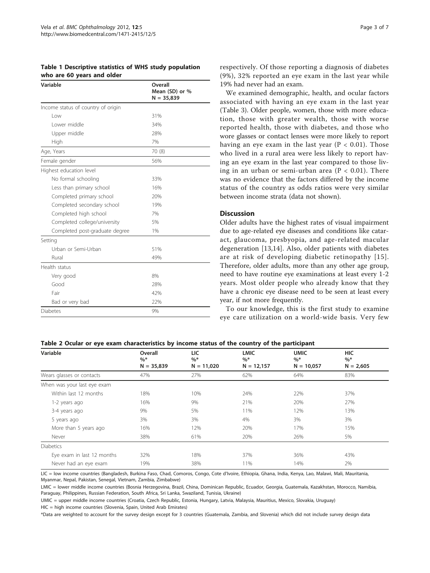<span id="page-2-0"></span>Table 1 Descriptive statistics of WHS study population who are 60 years and older

| Variable                           | Overall<br>Mean (SD) or %<br>$N = 35,839$ |  |  |
|------------------------------------|-------------------------------------------|--|--|
| Income status of country of origin |                                           |  |  |
| l ow                               | 31%                                       |  |  |
| Lower middle                       | 34%                                       |  |  |
| Upper middle                       | 28%                                       |  |  |
| High                               | 7%                                        |  |  |
| Age, Years                         | 70 (8)                                    |  |  |
| Female gender                      | 56%                                       |  |  |
| Highest education level            |                                           |  |  |
| No formal schooling                | 33%                                       |  |  |
| Less than primary school           | 16%                                       |  |  |
| Completed primary school           | 20%                                       |  |  |
| Completed secondary school         | 19%                                       |  |  |
| Completed high school              | 7%                                        |  |  |
| Completed college/university       | 5%                                        |  |  |
| Completed post-graduate degree     | 1%                                        |  |  |
| Setting                            |                                           |  |  |
| Urban or Semi-Urban                | 51%                                       |  |  |
| Rural                              | 49%                                       |  |  |
| Health status                      |                                           |  |  |
| Very good                          | 8%                                        |  |  |
| Good                               | 28%                                       |  |  |
| Fair                               | 42%                                       |  |  |
| Bad or very bad                    | 22%                                       |  |  |
| Diabetes                           | 9%                                        |  |  |

respectively. Of those reporting a diagnosis of diabetes (9%), 32% reported an eye exam in the last year while 19% had never had an exam.

We examined demographic, health, and ocular factors associated with having an eye exam in the last year (Table [3\)](#page-4-0). Older people, women, those with more education, those with greater wealth, those with worse reported health, those with diabetes, and those who wore glasses or contact lenses were more likely to report having an eye exam in the last year ( $P < 0.01$ ). Those who lived in a rural area were less likely to report having an eye exam in the last year compared to those living in an urban or semi-urban area ( $P < 0.01$ ). There was no evidence that the factors differed by the income status of the country as odds ratios were very similar between income strata (data not shown).

#### **Discussion**

Older adults have the highest rates of visual impairment due to age-related eye diseases and conditions like cataract, glaucoma, presbyopia, and age-related macular degeneration [[13,14](#page-5-0)]. Also, older patients with diabetes are at risk of developing diabetic retinopathy [[15\]](#page-5-0). Therefore, older adults, more than any other age group, need to have routine eye examinations at least every 1-2 years. Most older people who already know that they have a chronic eye disease need to be seen at least every year, if not more frequently.

To our knowledge, this is the first study to examine eye care utilization on a world-wide basis. Very few

#### Table 2 Ocular or eye exam characteristics by income status of the country of the participant

| Variable                    | Overall               | LIC                   | <b>LMIC</b>            | <b>UMIC</b>           | <b>HIC</b>           |
|-----------------------------|-----------------------|-----------------------|------------------------|-----------------------|----------------------|
|                             | $\%*$<br>$N = 35,839$ | $\%*$<br>$N = 11,020$ | $\%^*$<br>$N = 12,157$ | $\%*$<br>$N = 10,057$ | $\%*$<br>$N = 2,605$ |
|                             |                       |                       |                        |                       |                      |
| Wears glasses or contacts   | 47%                   | 27%                   | 62%                    | 64%                   | 83%                  |
| When was your last eye exam |                       |                       |                        |                       |                      |
| Within last 12 months       | 18%                   | 10%                   | 24%                    | 22%                   | 37%                  |
| 1-2 years ago               | 16%                   | 9%                    | 21%                    | 20%                   | 27%                  |
| 3-4 years ago               | 9%                    | 5%                    | 11%                    | 12%                   | 13%                  |
| 5 years ago                 | 3%                    | 3%                    | 4%                     | 3%                    | 3%                   |
| More than 5 years ago       | 16%                   | 12%                   | 20%                    | 17%                   | 15%                  |
| Never                       | 38%                   | 61%                   | 20%                    | 26%                   | 5%                   |
| <b>Diabetics</b>            |                       |                       |                        |                       |                      |
| Eye exam in last 12 months  | 32%                   | 18%                   | 37%                    | 36%                   | 43%                  |
| Never had an eye exam       | 19%                   | 38%                   | 11%                    | 14%                   | 2%                   |

LIC = low income countries (Bangladesh, Burkina Faso, Chad, Comoros, Congo, Cote d'Ivoire, Ethiopia, Ghana, India, Kenya, Lao, Malawi, Mali, Mauritania, Myanmar, Nepal, Pakistan, Senegal, Vietnam, Zambia, Zimbabwe)

LMIC = lower middle income countries (Bosnia Herzegovina, Brazil, China, Dominican Republic, Ecuador, Georgia, Guatemala, Kazakhstan, Morocco, Namibia, Paraguay, Philippines, Russian Federation, South Africa, Sri Lanka, Swaziland, Tunisia, Ukraine)

UMIC = upper middle income countries (Croatia, Czech Republic, Estonia, Hungary, Latvia, Malaysia, Mauritius, Mexico, Slovakia, Uruguay)

HIC = high income countries (Slovenia, Spain, United Arab Emirates)

\*Data are weighted to account for the survey design except for 3 countries (Guatemala, Zambia, and Slovenia) which did not include survey design data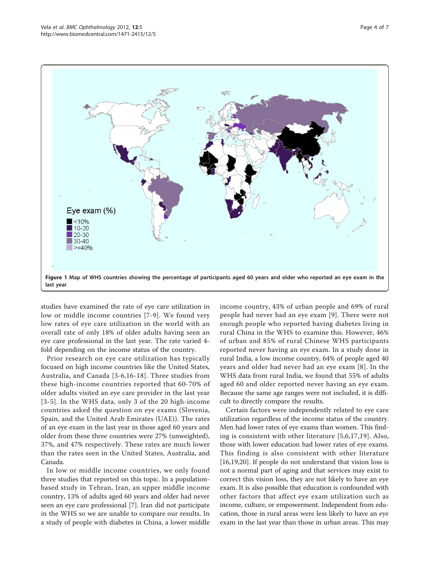<span id="page-3-0"></span>

studies have examined the rate of eye care utilization in low or middle income countries [[7-9\]](#page-5-0). We found very low rates of eye care utilization in the world with an overall rate of only 18% of older adults having seen an eye care professional in the last year. The rate varied 4 fold depending on the income status of the country.

Prior research on eye care utilization has typically focused on high income countries like the United States, Australia, and Canada [\[3-6,16](#page-5-0)-[18\]](#page-5-0). Three studies from these high-income countries reported that 60-70% of older adults visited an eye care provider in the last year [[3](#page-5-0)-[5\]](#page-5-0). In the WHS data, only 3 of the 20 high-income countries asked the question on eye exams (Slovenia, Spain, and the United Arab Emirates (UAE)). The rates of an eye exam in the last year in those aged 60 years and older from these three countries were 27% (unweighted), 37%, and 47% respectively. These rates are much lower than the rates seen in the United States, Australia, and Canada.

In low or middle income countries, we only found three studies that reported on this topic. In a populationbased study in Tehran, Iran, an upper middle income country, 13% of adults aged 60 years and older had never seen an eye care professional [[7\]](#page-5-0). Iran did not participate in the WHS so we are unable to compare our results. In a study of people with diabetes in China, a lower middle income country, 43% of urban people and 69% of rural people had never had an eye exam [[9\]](#page-5-0). There were not enough people who reported having diabetes living in rural China in the WHS to examine this. However, 46% of urban and 85% of rural Chinese WHS participants reported never having an eye exam. In a study done in rural India, a low income country, 64% of people aged 40 years and older had never had an eye exam [[8\]](#page-5-0). In the WHS data from rural India, we found that 55% of adults aged 60 and older reported never having an eye exam. Because the same age ranges were not included, it is difficult to directly compare the results.

Certain factors were independently related to eye care utilization regardless of the income status of the country. Men had lower rates of eye exams than women. This finding is consistent with other literature [[5,6](#page-5-0),[17,19](#page-5-0)]. Also, those with lower education had lower rates of eye exams. This finding is also consistent with other literature [[16,19,20\]](#page-5-0). If people do not understand that vision loss is not a normal part of aging and that services may exist to correct this vision loss, they are not likely to have an eye exam. It is also possible that education is confounded with other factors that affect eye exam utilization such as income, culture, or empowerment. Independent from education, those in rural areas were less likely to have an eye exam in the last year than those in urban areas. This may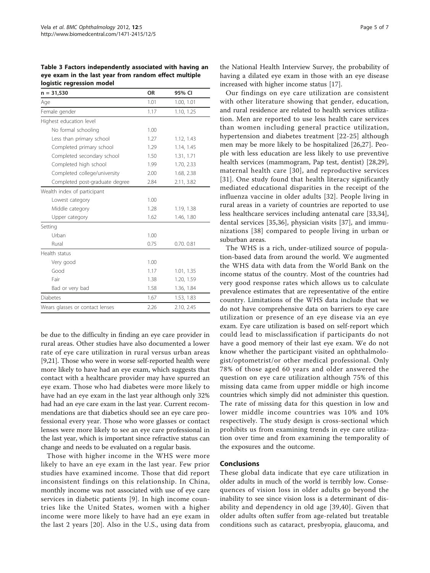<span id="page-4-0"></span>Table 3 Factors independently associated with having an eye exam in the last year from random effect multiple logistic regression model

| $n = 31,530$                    | <b>OR</b> | 95% CI     |
|---------------------------------|-----------|------------|
| Age                             | 1.01      | 1.00, 1.01 |
| Female gender                   | 1.17      | 1.10, 1.25 |
| Highest education level         |           |            |
| No formal schooling             | 1.00      |            |
| Less than primary school        | 1.27      | 1.12, 1.43 |
| Completed primary school        | 1.29      | 1.14, 1.45 |
| Completed secondary school      | 1.50      | 1.31, 1.71 |
| Completed high school           | 1.99      | 1.70, 2.33 |
| Completed college/university    | 2.00      | 1.68, 2.38 |
| Completed post-graduate degree  | 2.84      | 2.11, 3.82 |
| Wealth index of participant     |           |            |
| Lowest category                 | 1.00      |            |
| Middle category                 | 1.28      | 1.19, 1.38 |
| Upper category                  | 1.62      | 1.46, 1.80 |
| Setting                         |           |            |
| Urban                           | 1.00      |            |
| Rural                           | 0.75      | 0.70.0.81  |
| Health status                   |           |            |
| Very good                       | 1.00      |            |
| Good                            | 1.17      | 1.01, 1.35 |
| Fair                            | 1.38      | 1.20, 1.59 |
| Bad or very bad                 | 1.58      | 1.36, 1.84 |
| <b>Diabetes</b>                 | 1.67      | 1.53, 1.83 |
| Wears glasses or contact lenses | 2.26      | 2.10, 2.45 |

be due to the difficulty in finding an eye care provider in rural areas. Other studies have also documented a lower rate of eye care utilization in rural versus urban areas [[9,21](#page-5-0)]. Those who were in worse self-reported health were more likely to have had an eye exam, which suggests that contact with a healthcare provider may have spurred an eye exam. Those who had diabetes were more likely to have had an eye exam in the last year although only 32% had had an eye care exam in the last year. Current recommendations are that diabetics should see an eye care professional every year. Those who wore glasses or contact lenses were more likely to see an eye care professional in the last year, which is important since refractive status can change and needs to be evaluated on a regular basis.

Those with higher income in the WHS were more likely to have an eye exam in the last year. Few prior studies have examined income. Those that did report inconsistent findings on this relationship. In China, monthly income was not associated with use of eye care services in diabetic patients [\[9](#page-5-0)]. In high income countries like the United States, women with a higher income were more likely to have had an eye exam in the last 2 years [[20\]](#page-5-0). Also in the U.S., using data from

the National Health Interview Survey, the probability of having a dilated eye exam in those with an eye disease increased with higher income status [\[17\]](#page-5-0).

Our findings on eye care utilization are consistent with other literature showing that gender, education, and rural residence are related to health services utilization. Men are reported to use less health care services than women including general practice utilization, hypertension and diabetes treatment [[22](#page-5-0)-[25](#page-5-0)] although men may be more likely to be hospitalized [\[26,27](#page-5-0)]. People with less education are less likely to use preventive health services (mammogram, Pap test, dentist) [[28,29](#page-5-0)], maternal health care [[30\]](#page-5-0), and reproductive services [[31](#page-5-0)]. One study found that health literacy significantly mediated educational disparities in the receipt of the influenza vaccine in older adults [[32](#page-5-0)]. People living in rural areas in a variety of countries are reported to use less healthcare services including antenatal care [\[33,34](#page-5-0)], dental services [\[35](#page-5-0),[36\]](#page-5-0), physician visits [[37](#page-5-0)], and immunizations [[38\]](#page-6-0) compared to people living in urban or suburban areas.

The WHS is a rich, under-utilized source of population-based data from around the world. We augmented the WHS data with data from the World Bank on the income status of the country. Most of the countries had very good response rates which allows us to calculate prevalence estimates that are representative of the entire country. Limitations of the WHS data include that we do not have comprehensive data on barriers to eye care utilization or presence of an eye disease via an eye exam. Eye care utilization is based on self-report which could lead to misclassification if participants do not have a good memory of their last eye exam. We do not know whether the participant visited an ophthalmologist/optometrist/or other medical professional. Only 78% of those aged 60 years and older answered the question on eye care utilization although 75% of this missing data came from upper middle or high income countries which simply did not administer this question. The rate of missing data for this question in low and lower middle income countries was 10% and 10% respectively. The study design is cross-sectional which prohibits us from examining trends in eye care utilization over time and from examining the temporality of the exposures and the outcome.

# Conclusions

These global data indicate that eye care utilization in older adults in much of the world is terribly low. Consequences of vision loss in older adults go beyond the inability to see since vision loss is a determinant of disability and dependency in old age [[39](#page-6-0),[40](#page-6-0)]. Given that older adults often suffer from age-related but treatable conditions such as cataract, presbyopia, glaucoma, and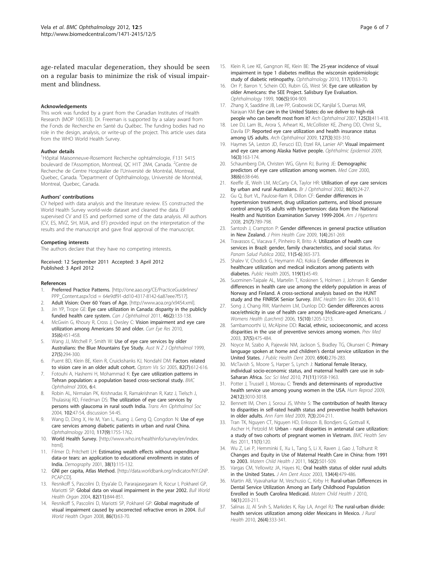<span id="page-5-0"></span>age-related macular degeneration, they should be seen on a regular basis to minimize the risk of visual impairment and blindness.

#### Acknowledgements

This work was funded by a grant from the Canadian Institutes of Health Research (MOP 106533). Dr. Freeman is supported by a salary award from the Fonds de Recherche en Santé du Québec. The funding bodies had no role in the design, analysis, or write-up of the project. This article uses data from the WHO World Health Survey.

#### Author details

1 Hôpital Maisonneuve-Rosemont Recherche ophtalmologie, F131 5415 boulevard de l'Assomption, Montreal, QC H1T 2M4, Canada. <sup>2</sup>Centre de Recherche de Centre Hospitalier de l'Université de Montréal, Montreal, Quebec, Canada. <sup>3</sup>Department of Ophthalmology, Université de Montréal, Montreal, Quebec, Canada.

#### Authors' contributions

CV helped with data analysis and the literature review. ES constructed the World Health Survey world-wide dataset and cleaned the data. EF supervised CV and ES and performed some of the data analysis. All authors (CV, ES, MVZ, SH, MJA, and EF) provided input on the interpretation of the results and the manuscript and gave final approval of the manuscript.

#### Competing interests

The authors declare that they have no competing interests.

#### Received: 12 September 2011 Accepted: 3 April 2012 Published: 3 April 2012

#### References

- Preferred Practice Patterns. [[http://one.aao.org/CE/PracticeGuidelines/](http://one.aao.org/CE/PracticeGuidelines/PPP_Content.aspx?cid = 64e9df91-dd10-4317-8142-6a87eee7f517) [PPP\\_Content.aspx?cid = 64e9df91-dd10-4317-8142-6a87eee7f517\]](http://one.aao.org/CE/PracticeGuidelines/PPP_Content.aspx?cid = 64e9df91-dd10-4317-8142-6a87eee7f517).
- 2. Adult Vision: Over 60 Years of Age. [\[http://www.aoa.org/x9454.xml](http://www.aoa.org/x9454.xml)]
- 3. Jin YP, Trope GE: [Eye care utilization in Canada: disparity in the publicly](http://www.ncbi.nlm.nih.gov/pubmed/21708079?dopt=Abstract) [funded health care system.](http://www.ncbi.nlm.nih.gov/pubmed/21708079?dopt=Abstract) Can J Ophthalmol 2011, 46(2):133-138.
- 4. McGwin G, Khoury R, Cross J, Owsley C: [Vision impairment and eye care](http://www.ncbi.nlm.nih.gov/pubmed/20465437?dopt=Abstract) [utilization among Americans 50 and older.](http://www.ncbi.nlm.nih.gov/pubmed/20465437?dopt=Abstract) Curr Eye Res 2010, 35(6):451-458.
- Wang JJ, Mitchell P, Smith W: [Use of eye care services by older](http://www.ncbi.nlm.nih.gov/pubmed/10571388?dopt=Abstract) [Australians: the Blue Mountains Eye Study.](http://www.ncbi.nlm.nih.gov/pubmed/10571388?dopt=Abstract) Aust N Z J Ophthalmol 1999, 27(5):294-300.
- 6. Puent BD, Klein BE, Klein R, Cruickshanks KJ, Nondahl DM: [Factors related](http://www.ncbi.nlm.nih.gov/pubmed/16044073?dopt=Abstract) [to vision care in an older adult cohort.](http://www.ncbi.nlm.nih.gov/pubmed/16044073?dopt=Abstract) Optom Vis Sci 2005, 82(7):612-616.
- Fotouhi A, Hashemi H, Mohammad K: [Eye care utilization patterns in](http://www.ncbi.nlm.nih.gov/pubmed/16423308?dopt=Abstract) [Tehran population: a population based cross-sectional study.](http://www.ncbi.nlm.nih.gov/pubmed/16423308?dopt=Abstract) BMC Ophthalmol 2006, 6:4.
- 8. Robin AL, Nirmalan PK, Krishnadas R, Ramakrishnan R, Katz J, Tielsch J, Thulasiraj RD, Friedman DS: [The utilization of eye care services by](http://www.ncbi.nlm.nih.gov/pubmed/15747744?dopt=Abstract) [persons with glaucoma in rural south India.](http://www.ncbi.nlm.nih.gov/pubmed/15747744?dopt=Abstract) Trans Am Ophthalmol Soc 2004, 102:47-54, discussion 54-45.
- 9. Wang D, Ding X, He M, Yan L, Kuang J, Geng Q, Congdon N: [Use of eye](http://www.ncbi.nlm.nih.gov/pubmed/20471689?dopt=Abstract) [care services among diabetic patients in urban and rural China.](http://www.ncbi.nlm.nih.gov/pubmed/20471689?dopt=Abstract) Ophthalmology 2010, 117(9):1755-1762.
- 10. World Health Survey. [\[http://www.who.int/healthinfo/survey/en/index.](http://www.who.int/healthinfo/survey/en/index.html) [html\]](http://www.who.int/healthinfo/survey/en/index.html).
- 11. Filmer D, Pritchett LH: [Estimating wealth effects without expenditure](http://www.ncbi.nlm.nih.gov/pubmed/11227840?dopt=Abstract) [data-or tears: an application to educational enrollments in states of](http://www.ncbi.nlm.nih.gov/pubmed/11227840?dopt=Abstract) [India.](http://www.ncbi.nlm.nih.gov/pubmed/11227840?dopt=Abstract) Demography 2001, 38(1):115-132.
- 12. GNI per capita, Atlas Method. [\[http://data.worldbank.org/indicator/NY.GNP.](http://data.worldbank.org/indicator/NY.GNP.PCAP.CD) [PCAP.CD\]](http://data.worldbank.org/indicator/NY.GNP.PCAP.CD).
- 13. Resnikoff S, Pascolini D, Etya'ale D, Pararajasegaram R, Kocur I, Pokharel GP, Mariotti SP: [Global data on visual impairment in the year 2002.](http://www.ncbi.nlm.nih.gov/pubmed/15640920?dopt=Abstract) Bull World Health Organ 2004, 82(11):844-851.
- 14. Resnikoff S, Pascolini D, Mariotti SP, Pokharel GP: [Global magnitude of](http://www.ncbi.nlm.nih.gov/pubmed/18235892?dopt=Abstract) [visual impairment caused by uncorrected refractive errors in 2004.](http://www.ncbi.nlm.nih.gov/pubmed/18235892?dopt=Abstract) Bull World Health Organ 2008, 86(1):63-70.
- 15. Klein R, Lee KE, Gangnon RE, Klein BE: [The 25-year incidence of visual](http://www.ncbi.nlm.nih.gov/pubmed/19880184?dopt=Abstract) [impairment in type 1 diabetes mellitus the wisconsin epidemiologic](http://www.ncbi.nlm.nih.gov/pubmed/19880184?dopt=Abstract) [study of diabetic retinopathy.](http://www.ncbi.nlm.nih.gov/pubmed/19880184?dopt=Abstract) Ophthalmology 2010, 117(1):63-70.
- 16. Orr P, Barron Y, Schein OD, Rubin GS, West SK: [Eye care utilization by](http://www.ncbi.nlm.nih.gov/pubmed/10328388?dopt=Abstract) [older Americans: the SEE Project. Salisbury Eye Evaluation.](http://www.ncbi.nlm.nih.gov/pubmed/10328388?dopt=Abstract) Ophthalmology 1999, 106(5):904-909.
- 17. Zhang X, Saaddine JB, Lee PP, Grabowski DC, Kanjilal S, Duenas MR, Narayan KM: [Eye care in the United States: do we deliver to high-risk](http://www.ncbi.nlm.nih.gov/pubmed/17353417?dopt=Abstract) [people who can benefit most from it?](http://www.ncbi.nlm.nih.gov/pubmed/17353417?dopt=Abstract) Arch Ophthalmol 2007, 125(3):411-418.
- 18. Lee DJ, Lam BL, Arora S, Arheart KL, McCollister KE, Zheng DD, Christ SL, Davila EP: [Reported eye care utilization and health insurance status](http://www.ncbi.nlm.nih.gov/pubmed/19273794?dopt=Abstract) [among US adults.](http://www.ncbi.nlm.nih.gov/pubmed/19273794?dopt=Abstract) Arch Ophthalmol 2009, 127(3):303-310.
- 19. Haymes SA, Leston JD, Ferucci ED, Etzel RA, Lanier AP: [Visual impairment](http://www.ncbi.nlm.nih.gov/pubmed/19437311?dopt=Abstract) [and eye care among Alaska Native people.](http://www.ncbi.nlm.nih.gov/pubmed/19437311?dopt=Abstract) Ophthalmic Epidemiol 2009, 16(3):163-174.
- 20. Schaumberg DA, Christen WG, Glynn RJ, Buring JE: [Demographic](http://www.ncbi.nlm.nih.gov/pubmed/10843311?dopt=Abstract) [predictors of eye care utilization among women.](http://www.ncbi.nlm.nih.gov/pubmed/10843311?dopt=Abstract) Med Care 2000, 38(6):638-646.
- 21. Keeffe JE, Weih LM, McCarty CA, Taylor HR: [Utilisation of eye care services](http://www.ncbi.nlm.nih.gov/pubmed/11801497?dopt=Abstract) [by urban and rural Australians.](http://www.ncbi.nlm.nih.gov/pubmed/11801497?dopt=Abstract) Br J Ophthalmol 2002, 86(1):24-27.
- 22. Gu Q, Burt VL, Paulose-Ram R, Dillon CF: [Gender differences in](http://www.ncbi.nlm.nih.gov/pubmed/18451806?dopt=Abstract) [hypertension treatment, drug utilization patterns, and blood pressure](http://www.ncbi.nlm.nih.gov/pubmed/18451806?dopt=Abstract) [control among US adults with hypertension: data from the National](http://www.ncbi.nlm.nih.gov/pubmed/18451806?dopt=Abstract) [Health and Nutrition Examination Survey 1999-2004.](http://www.ncbi.nlm.nih.gov/pubmed/18451806?dopt=Abstract) Am J Hypertens 2008, 21(7):789-798.
- 23. Santosh J, Crampton P: [Gender differences in general practice utilisation](http://www.ncbi.nlm.nih.gov/pubmed/20690334?dopt=Abstract) [in New Zealand.](http://www.ncbi.nlm.nih.gov/pubmed/20690334?dopt=Abstract) J Prim Health Care 2009, 1(4):261-269.
- 24. Travassos C, Viacava F, Pinheiro R, Brito A: [Utilization of health care](http://www.ncbi.nlm.nih.gov/pubmed/12162833?dopt=Abstract) [services in Brazil: gender, family characteristics, and social status.](http://www.ncbi.nlm.nih.gov/pubmed/12162833?dopt=Abstract) Rev Panam Salud Publica 2002, 11(5-6):365-373.
- 25. Shalev V, Chodick G, Heymann AD, Kokia E: [Gender differences in](http://www.ncbi.nlm.nih.gov/pubmed/15560901?dopt=Abstract) [healthcare utilization and medical indicators among patients with](http://www.ncbi.nlm.nih.gov/pubmed/15560901?dopt=Abstract) [diabetes.](http://www.ncbi.nlm.nih.gov/pubmed/15560901?dopt=Abstract) Public Health 2005, 119(1):45-49.
- 26. Suominen-Taipale AL, Martelin T, Koskinen S, Holmen J, Johnsen R: [Gender](http://www.ncbi.nlm.nih.gov/pubmed/16952306?dopt=Abstract) [differences in health care use among the elderly population in areas of](http://www.ncbi.nlm.nih.gov/pubmed/16952306?dopt=Abstract) [Norway and Finland. A cross-sectional analysis based on the HUNT](http://www.ncbi.nlm.nih.gov/pubmed/16952306?dopt=Abstract) [study and the FINRISK Senior Survey.](http://www.ncbi.nlm.nih.gov/pubmed/16952306?dopt=Abstract) BMC Health Serv Res 2006, 6:110.
- 27. Song J, Chang RW, Manheim LM, Dunlop DD: Gender differences across race/ethnicity in use of health care among Medicare-aged Americans. J Womens Health (Larchmt) 2006, 15(10):1205-1213.
- 28. Sambamoorthi U, McAlpine DD: [Racial, ethnic, socioeconomic, and access](http://www.ncbi.nlm.nih.gov/pubmed/14572431?dopt=Abstract) [disparities in the use of preventive services among women.](http://www.ncbi.nlm.nih.gov/pubmed/14572431?dopt=Abstract) Prev Med 2003, 37(5):475-484.
- 29. Noyce M, Szabo A, Pajewski NM, Jackson S, Bradley TG, Okunseri C: [Primary](http://www.ncbi.nlm.nih.gov/pubmed/19552675?dopt=Abstract) [language spoken at home and children](http://www.ncbi.nlm.nih.gov/pubmed/19552675?dopt=Abstract)'s dental service utilization in the [United States.](http://www.ncbi.nlm.nih.gov/pubmed/19552675?dopt=Abstract) J Public Health Dent 2009, 69(4):276-283.
- 30. McTavish S, Moore S, Harper S, Lynch J: [National female literacy,](http://www.ncbi.nlm.nih.gov/pubmed/20980089?dopt=Abstract) [individual socio-economic status, and maternal health care use in sub-](http://www.ncbi.nlm.nih.gov/pubmed/20980089?dopt=Abstract)[Saharan Africa.](http://www.ncbi.nlm.nih.gov/pubmed/20980089?dopt=Abstract) Soc Sci Med 2010, 71(11):1958-1963.
- 31. Potter J, Trussell J, Moreau C: [Trends and determinants of reproductive](http://www.ncbi.nlm.nih.gov/pubmed/19770127?dopt=Abstract) [health service use among young women in the USA.](http://www.ncbi.nlm.nih.gov/pubmed/19770127?dopt=Abstract) Hum Reprod 2009, 24(12):3010-3018.
- 32. Bennett IM, Chen J, Soroui JS, White S: [The contribution of health literacy](http://www.ncbi.nlm.nih.gov/pubmed/19433837?dopt=Abstract) [to disparities in self-rated health status and preventive health behaviors](http://www.ncbi.nlm.nih.gov/pubmed/19433837?dopt=Abstract) [in older adults.](http://www.ncbi.nlm.nih.gov/pubmed/19433837?dopt=Abstract) Ann Fam Med 2009, 7(3):204-211.
- 33. Tran TK, Nguyen CT, Nguyen HD, Eriksson B, Bondjers G, Gottvall K, Ascher H, Petzold M: [Urban - rural disparities in antenatal care utilization:](http://www.ncbi.nlm.nih.gov/pubmed/21605446?dopt=Abstract) [a study of two cohorts of pregnant women in Vietnam.](http://www.ncbi.nlm.nih.gov/pubmed/21605446?dopt=Abstract) BMC Health Serv Res 2011, 11(1):120.
- 34. Wu Z, Lei P, Hemminki E, Xu L, Tang S, Li X, Raven J, Gao J, Tolhurst R: Changes and Equity in Use of Maternal Health Care in China: from 1991 to 2003. Matern Child Health J 2011, 16(2):501-509.
- 35. Vargas CM, Yellowitz JA, Hayes KL: [Oral health status of older rural adults](http://www.ncbi.nlm.nih.gov/pubmed/12733783?dopt=Abstract) [in the United States.](http://www.ncbi.nlm.nih.gov/pubmed/12733783?dopt=Abstract) J Am Dent Assoc 2003, 134(4):479-486.
- 36. Martin AB, Vyavaharkar M, Veschusio C, Kirby H: Rural-urban Differences in Dental Service Utilization Among an Early Childhood Population Enrolled in South Carolina Medicaid. Matern Child Health J 2010, 16(1):203-211.
- 37. Salinas JJ, Al Snih S, Markides K, Ray LA, Angel RJ: [The rural-urban divide:](http://www.ncbi.nlm.nih.gov/pubmed/21029168?dopt=Abstract) [health services utilization among older Mexicans in Mexico.](http://www.ncbi.nlm.nih.gov/pubmed/21029168?dopt=Abstract) J Rural Health 2010, 26(4):333-341.